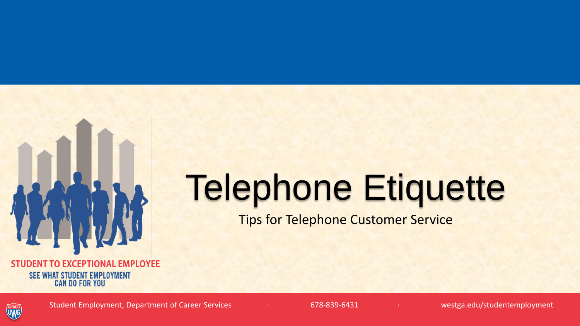

# Telephone Etiquette

Tips for Telephone Customer Service

**STUDENT TO EXCEPTIONAL EMPLOYEE SEE WHAT STUDENT EMPLOYMENT CAN DO FOR YOU** 



Student Employment, Department of Career Services · · · · · · · · · 678-839-6431 · · · · · · · · · · · westga.edu/studentemployment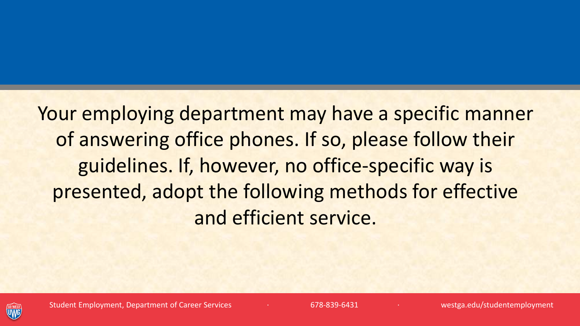Your employing department may have a specific manner of answering office phones. If so, please follow their guidelines. If, however, no office-specific way is presented, adopt the following methods for effective and efficient service.

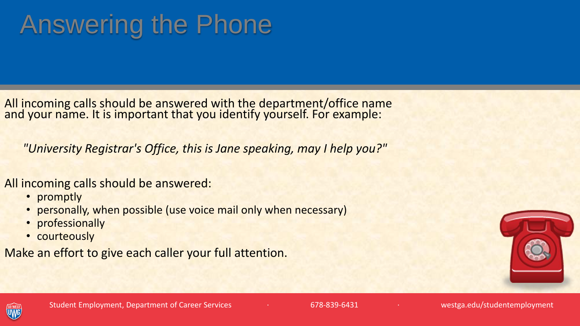#### Answering the Phone

All incoming calls should be answered with the department/office name and your name. It is important that you identify yourself. For example:

*"University Registrar's Office, this is Jane speaking, may I help you?"*

All incoming calls should be answered:

- promptly
- personally, when possible (use voice mail only when necessary)
- professionally
- courteously

Make an effort to give each caller your full attention.



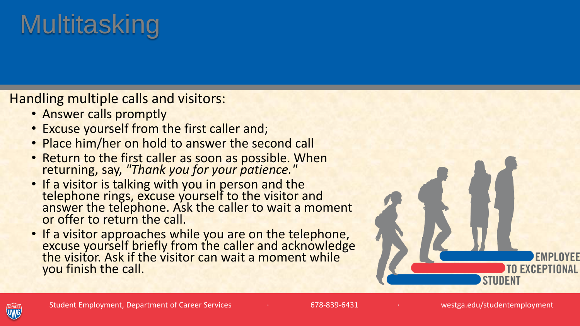# Multitasking

Handling multiple calls and visitors:

- Answer calls promptly
- Excuse yourself from the first caller and;
- Place him/her on hold to answer the second call
- Return to the first caller as soon as possible. When returning, say, *"Thank you for your patience."*
- If a visitor is talking with you in person and the telephone rings, excuse yourself to the visitor and answer the telephone. Ask the caller to wait a moment or offer to return the call.
- If a visitor approaches while you are on the telephone, excuse yourself briefly from the caller and acknowledge the visitor. Ask if the visitor can wait a moment while you finish the call.



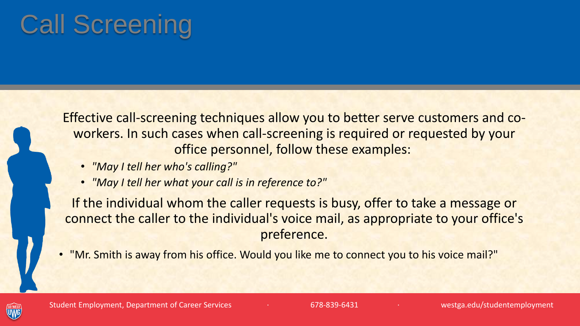## Call Screening

Effective call-screening techniques allow you to better serve customers and coworkers. In such cases when call-screening is required or requested by your office personnel, follow these examples:

- *"May I tell her who's calling?"*
- *"May I tell her what your call is in reference to?"*

If the individual whom the caller requests is busy, offer to take a message or connect the caller to the individual's voice mail, as appropriate to your office's preference.

"Mr. Smith is away from his office. Would you like me to connect you to his voice mail?"

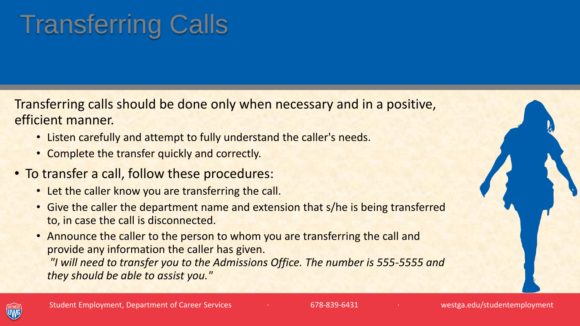# Transferring Calls

Transferring calls should be done only when necessary and in a positive, efficient manner.

- Listen carefully and attempt to fully understand the caller's needs.
- Complete the transfer quickly and correctly.
- To transfer a call, follow these procedures:
	- Let the caller know you are transferring the call.
	- Give the caller the department name and extension that s/he is being transferred to, in case the call is disconnected.
	- Announce the caller to the person to whom you are transferring the call and provide any information the caller has given.

*"I will need to transfer you to the Admissions Office. The number is 555-5555 and they should be able to assist you."*

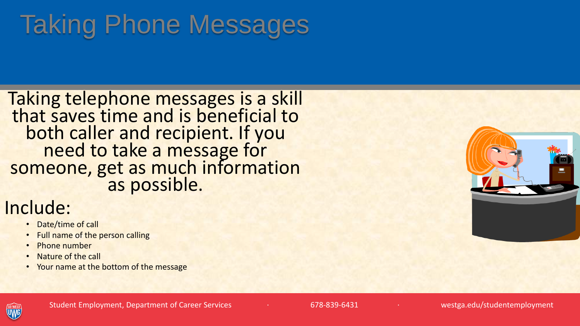## Taking Phone Messages

Taking telephone messages is a skill that saves time and is beneficial to both caller and recipient. If you need to take a message for someone, get as much information as possible.

#### Include:

- Date/time of call
- Full name of the person calling
- Phone number
- Nature of the call
- Your name at the bottom of the message